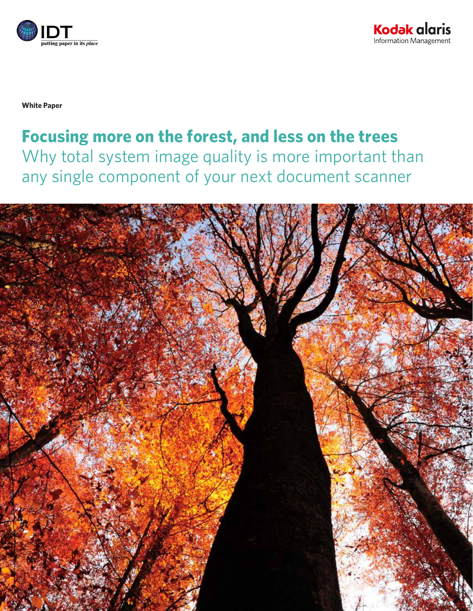



**White Paper**

## **Focusing more on the forest, and less on the trees**

Why total system image quality is more important than any single component of your next document scanner

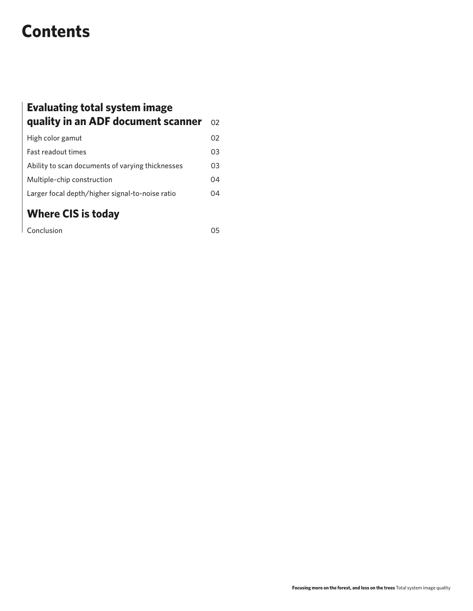# **Contents**

| <b>Evaluating total system image</b>             |    |
|--------------------------------------------------|----|
| quality in an ADF document scanner               | 02 |
| High color gamut                                 | 02 |
| <b>Fast readout times</b>                        | 03 |
| Ability to scan documents of varying thicknesses | 03 |
| Multiple-chip construction                       | 04 |
| Larger focal depth/higher signal-to-noise ratio  | 04 |
| <b>Where CIS is today</b>                        |    |
| Conclusion                                       | 05 |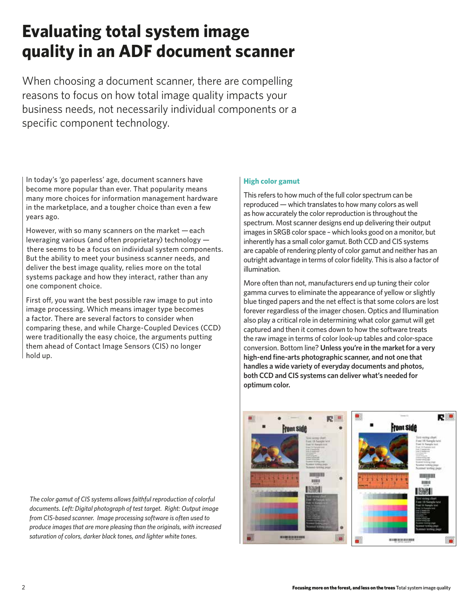# **Evaluating total system image quality in an ADF document scanner**

When choosing a document scanner, there are compelling reasons to focus on how total image quality impacts your business needs, not necessarily individual components or a specific component technology.

In today's 'go paperless' age, document scanners have become more popular than ever. That popularity means many more choices for information management hardware in the marketplace, and a tougher choice than even a few years ago.

However, with so many scanners on the market — each leveraging various (and often proprietary) technology there seems to be a focus on individual system components. But the ability to meet your business scanner needs, and deliver the best image quality, relies more on the total systems package and how they interact, rather than any one component choice.

First off, you want the best possible raw image to put into image processing. Which means imager type becomes a factor. There are several factors to consider when comparing these, and while Charge-Coupled Devices (CCD) were traditionally the easy choice, the arguments putting them ahead of Contact Image Sensors (CIS) no longer hold up.

*The color gamut of CIS systems allows faithful reproduction of colorful documents. Left: Digital photograph of test target. Right: Output image from CIS-based scanner. Image processing software is often used to produce images that are more pleasing than the originals, with increased saturation of colors, darker black tones, and lighter white tones.*

## **High color gamut**

This refers to how much of the full color spectrum can be reproduced — which translates to how many colors as well as how accurately the color reproduction is throughout the spectrum. Most scanner designs end up delivering their output images in SRGB color space – which looks good on a monitor, but inherently has a small color gamut. Both CCD and CIS systems are capable of rendering plenty of color gamut and neither has an outright advantage in terms of color fidelity. This is also a factor of illumination.

More often than not, manufacturers end up tuning their color gamma curves to eliminate the appearance of yellow or slightly blue tinged papers and the net effect is that some colors are lost forever regardless of the imager chosen. Optics and Illumination also play a critical role in determining what color gamut will get captured and then it comes down to how the software treats the raw image in terms of color look-up tables and color-space conversion. Bottom line? **Unless you're in the market for a very high-end fine-arts photographic scanner, and not one that handles a wide variety of everyday documents and photos, both CCD and CIS systems can deliver what's needed for optimum color.**

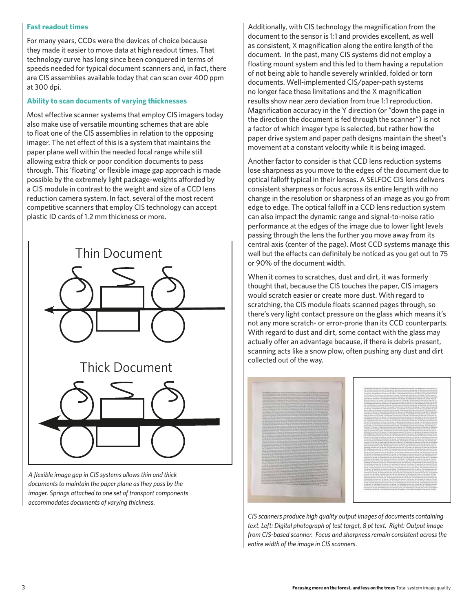#### **Fast readout times**

For many years, CCDs were the devices of choice because they made it easier to move data at high readout times. That technology curve has long since been conquered in terms of speeds needed for typical document scanners and, in fact, there are CIS assemblies available today that can scan over 400 ppm at 300 dpi.

#### **Ability to scan documents of varying thicknesses**

Most effective scanner systems that employ CIS imagers today also make use of versatile mounting schemes that are able to float one of the CIS assemblies in relation to the opposing imager. The net effect of this is a system that maintains the paper plane well within the needed focal range while still allowing extra thick or poor condition documents to pass through. This 'floating' or flexible image gap approach is made possible by the extremely light package-weights afforded by a CIS module in contrast to the weight and size of a CCD lens reduction camera system. In fact, several of the most recent competitive scanners that employ CIS technology can accept plastic ID cards of 1.2 mm thickness or more.



*A flexible image gap in CIS systems allows thin and thick documents to maintain the paper plane as they pass by the imager. Springs attached to one set of transport components accommodates documents of varying thickness.*

Additionally, with CIS technology the magnification from the document to the sensor is 1:1 and provides excellent, as well as consistent, X magnification along the entire length of the document. In the past, many CIS systems did not employ a floating mount system and this led to them having a reputation of not being able to handle severely wrinkled, folded or torn documents. Well-implemented CIS/paper-path systems no longer face these limitations and the X magnification results show near zero deviation from true 1:1 reproduction. Magnification accuracy in the Y direction (or "down the page in the direction the document is fed through the scanner") is not a factor of which imager type is selected, but rather how the paper drive system and paper path designs maintain the sheet's movement at a constant velocity while it is being imaged.

Another factor to consider is that CCD lens reduction systems lose sharpness as you move to the edges of the document due to optical falloff typical in their lenses. A SELFOC CIS lens delivers consistent sharpness or focus across its entire length with no change in the resolution or sharpness of an image as you go from edge to edge. The optical falloff in a CCD lens reduction system can also impact the dynamic range and signal-to-noise ratio performance at the edges of the image due to lower light levels passing through the lens the further you move away from its central axis (center of the page). Most CCD systems manage this well but the effects can definitely be noticed as you get out to 75 or 90% of the document width.

When it comes to scratches, dust and dirt, it was formerly thought that, because the CIS touches the paper, CIS imagers would scratch easier or create more dust. With regard to scratching, the CIS module floats scanned pages through, so there's very light contact pressure on the glass which means it's not any more scratch- or error-prone than its CCD counterparts. With regard to dust and dirt, some contact with the glass may actually offer an advantage because, if there is debris present, scanning acts like a snow plow, often pushing any dust and dirt collected out of the way.



*CIS scanners produce high quality output images of documents containing text. Left: Digital photograph of test target, 8 pt text. Right: Output image from CIS-based scanner. Focus and sharpness remain consistent across the entire width of the image in CIS scanners.*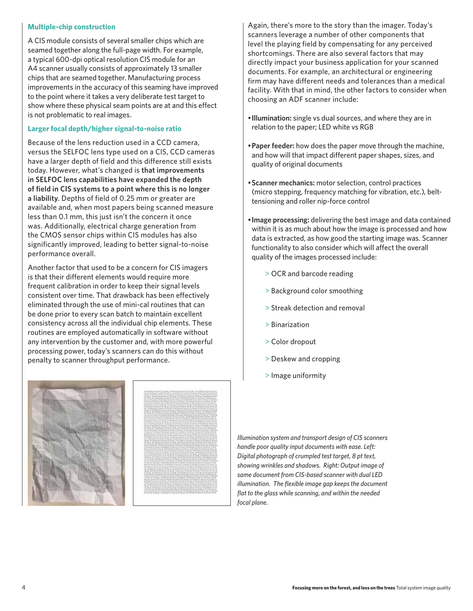#### **Multiple-chip construction**

A CIS module consists of several smaller chips which are seamed together along the full-page width. For example, a typical 600-dpi optical resolution CIS module for an A4 scanner usually consists of approximately 13 smaller chips that are seamed together. Manufacturing process improvements in the accuracy of this seaming have improved to the point where it takes a very deliberate test target to show where these physical seam points are at and this effect is not problematic to real images.

### **Larger focal depth/higher signal-to-noise ratio**

Because of the lens reduction used in a CCD camera, versus the SELFOC lens type used on a CIS, CCD cameras have a larger depth of field and this difference still exists today. However, what's changed is **that improvements in SELFOC lens capabilities have expanded the depth of field in CIS systems to a point where this is no longer a liability**. Depths of field of 0.25 mm or greater are available and, when most papers being scanned measure less than 0.1 mm, this just isn't the concern it once was. Additionally, electrical charge generation from the CMOS sensor chips within CIS modules has also significantly improved, leading to better signal-to-noise performance overall.

Another factor that used to be a concern for CIS imagers is that their different elements would require more frequent calibration in order to keep their signal levels consistent over time. That drawback has been effectively eliminated through the use of mini-cal routines that can be done prior to every scan batch to maintain excellent consistency across all the individual chip elements. These routines are employed automatically in software without any intervention by the customer and, with more powerful processing power, today's scanners can do this without penalty to scanner throughput performance.

Again, there's more to the story than the imager. Today's scanners leverage a number of other components that level the playing field by compensating for any perceived shortcomings. There are also several factors that may directly impact your business application for your scanned documents. For example, an architectural or engineering firm may have different needs and tolerances than a medical facility. With that in mind, the other factors to consider when choosing an ADF scanner include:

- •**Illumination:** single vs dual sources, and where they are in relation to the paper; LED white vs RGB
- •**Paper feeder:** how does the paper move through the machine, and how will that impact different paper shapes, sizes, and quality of original documents
- •**Scanner mechanics:** motor selection, control practices (micro stepping, frequency matching for vibration, etc.), belttensioning and roller nip-force control
- •**Image processing:** delivering the best image and data contained within it is as much about how the image is processed and how data is extracted, as how good the starting image was. Scanner functionality to also consider which will affect the overall quality of the images processed include:
	- > OCR and barcode reading
	- > Background color smoothing
	- > Streak detection and removal
	- > Binarization
	- > Color dropout
	- > Deskew and cropping
	- > Image uniformity

*Illumination system and transport design of CIS scanners handle poor quality input documents with ease. Left: Digital photograph of crumpled test target, 8 pt text, showing wrinkles and shadows. Right: Output image of same document from CIS-based scanner with dual LED illumination. The flexible image gap keeps the document flat to the glass while scanning, and within the needed focal plane.*